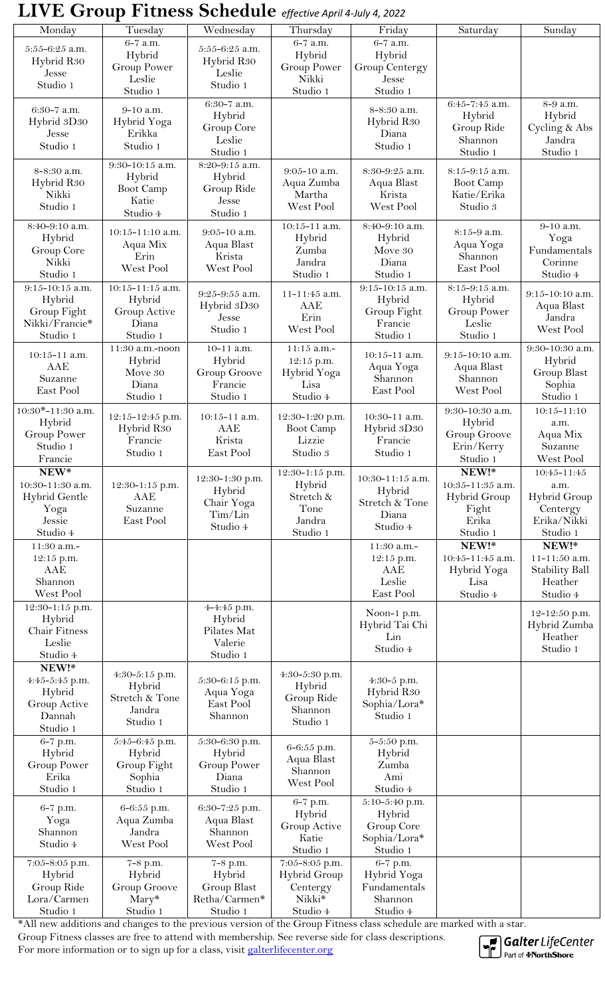## **LIVE Group Fitness Schedule** *effective April 4-July 4, 2022*

| Monday                        | $\overline{T}$ uesday                      | Wednesday                    | Thursday                     | Friday                      | Saturday                     | Sunday                  |
|-------------------------------|--------------------------------------------|------------------------------|------------------------------|-----------------------------|------------------------------|-------------------------|
| $5:55-6:25$ a.m.              | 6-7 a.m.                                   | $5:55-6:25$ a.m.             | 6-7 a.m.                     | 6-7 a.m.                    |                              |                         |
| Hybrid R <sub>30</sub>        | Hybrid                                     | Hybrid R <sub>30</sub>       | Hybrid                       | Hybrid                      |                              |                         |
| Jesse                         | <b>Group Power</b>                         | Leslie                       | <b>Group Power</b>           | Group Centergy              |                              |                         |
| Studio 1                      | Leslie                                     | Studio 1                     | Nikki                        | Jesse                       |                              |                         |
|                               | Studio 1                                   |                              | Studio 1                     | Studio 1                    |                              |                         |
| 6:30-7 a.m.                   | 9-10 a.m.                                  | 6:30-7 a.m.                  |                              | 8-8:30 a.m.                 | 6:45-7:45 a.m.               | 8-9 a.m.                |
| Hybrid 3D30                   | Hybrid Yoga                                | Hybrid<br>Group Core         |                              | Hybrid R <sub>30</sub>      | Hybrid<br>Group Ride         | Hybrid                  |
| Jesse                         | Erikka                                     | Leslie                       |                              | Diana                       | Shannon                      | Cycling & Abs<br>Jandra |
| Studio 1                      | Studio 1                                   | Studio 1                     |                              | Studio 1                    | Studio 1                     | Studio 1                |
|                               | 9:30-10:15 a.m.                            | 8:20-9:15 a.m.               |                              |                             |                              |                         |
| 8-8:30 a.m.                   | Hybrid                                     | Hybrid                       | $9:05-10$ a.m.               | 8:30-9:25 a.m.              | 8:15-9:15 a.m.               |                         |
| Hybrid R30                    | <b>Boot Camp</b>                           | Group Ride                   | Aqua Zumba                   | Aqua Blast                  | <b>Boot Camp</b>             |                         |
| Nikki                         | Katie                                      | Jesse                        | Martha                       | Krista                      | Katie/Erika                  |                         |
| Studio 1                      | Studio 4                                   | Studio 1                     | West Pool                    | West Pool                   | Studio 3                     |                         |
| 8:40-9:10 a.m.                | $10:15 - 11:10$ a.m.                       | 9:05-10 a.m.                 | $10:15 - 11$ a.m.            | 8:40-9:10 a.m.              | 8:15-9 a.m.                  | 9-10 a.m.               |
| Hybrid                        | Aqua Mix                                   | Aqua Blast                   | Hybrid                       | Hybrid                      | Aqua Yoga                    | Yoga                    |
| Group Core                    | Erin                                       | Krista                       | Zumba                        | Move 30                     | Shannon                      | Fundamentals            |
| Nikki                         | West Pool                                  | West Pool                    | Jandra                       | Diana                       | East Pool                    | Corinne                 |
| Studio 1                      |                                            |                              | Studio 1                     | Studio 1                    |                              | Studio 4                |
| $9:15 - 10:15$ a.m.           | $10:15 - 11:15$ a.m.                       | 9:25-9:55 a.m.               | 11-11:45 a.m.                | 9:15-10:15 a.m.             | 8:15-9:15 a.m.               | 9:15-10:10 a.m.         |
| Hybrid                        | Hybrid                                     | Hybrid 3D30                  | AAE                          | Hybrid                      | Hybrid                       | Aqua Blast              |
| Group Fight<br>Nikki/Francie* | Group Active<br>Diana                      | Jesse                        | Erin                         | Group Fight<br>Francie      | <b>Group Power</b><br>Leslie | Jandra                  |
| Studio 1                      | Studio 1                                   | Studio 1                     | West Pool                    | Studio 1                    | Studio 1                     | West Pool               |
|                               | 11:30 a.m.-noon                            | $10-11$ a.m.                 | $11:15$ a.m.-                |                             |                              | 9:30-10:30 a.m.         |
| $10:15 - 11$ a.m.             | Hybrid                                     | Hybrid                       | 12:15 p.m.                   | $10:15 - 11$ a.m.           | $9:15 - 10:10$ a.m.          | Hybrid                  |
| AAE                           | Move 30                                    | Group Groove                 | Hybrid Yoga                  | Aqua Yoga                   | Aqua Blast                   | Group Blast             |
| Suzanne                       | Diana                                      | Francie                      | Lisa                         | Shannon                     | Shannon                      | Sophia                  |
| East Pool                     | Studio 1                                   | Studio 1                     | Studio 4                     | East Pool                   | West Pool                    | Studio 1                |
| $10:30*-11:30$ a.m.           |                                            | $10:15 - 11$ a.m.            |                              | 10:30-11 a.m.               | 9:30-10:30 a.m.              | $10:15 - 11:10$         |
| Hybrid                        | 12:15-12:45 p.m.<br>Hybrid R <sub>30</sub> | AAE                          | 12:30-1:20 p.m.<br>Boot Camp | Hybrid 3D30                 | Hybrid                       | a.m.                    |
| <b>Group Power</b>            | Francie                                    | Krista                       | Lizzie                       | Francie                     | Group Groove                 | Aqua Mix                |
| Studio 1                      | Studio 1                                   | East Pool                    | Studio 3                     | Studio 1                    | Erin/Kerry                   | Suzanne                 |
| Francie                       |                                            |                              |                              |                             | Studio 1                     | West Pool               |
| $NEW^*$                       |                                            | 12:30-1:30 p.m.              | 12:30-1:15 p.m.              | 10:30-11:15 a.m.            | NEW!*                        | 10:45-11:45             |
| 10:30-11:30 a.m.              | 12:30-1:15 p.m.                            | Hybrid                       | Hybrid                       | Hybrid                      | 10:35-11:35 a.m.             | a.m.                    |
| Hybrid Gentle                 | AAE                                        | Chair Yoga                   | Stretch &                    | Stretch & Tone              | <b>Hybrid Group</b>          | Hybrid Group            |
| Yoga                          | Suzanne<br>East Pool                       | Tim/Lin                      | Tone<br>Jandra               | Diana                       | Fight                        | Centergy<br>Erika/Nikki |
| Jessie<br>Studio 4            |                                            | Studio 4                     | Studio 1                     | Studio 4                    | Erika<br>Studio 1            | Studio 1                |
| 11:30 a.m.-                   |                                            |                              |                              | 11:30 a.m.-                 | NEW!*                        | NEW!*                   |
| 12:15 p.m.                    |                                            |                              |                              | 12:15 p.m.                  | $10:45 - 11:45$ a.m.         | 11-11:50 a.m.           |
| AAE                           |                                            |                              |                              | AAE                         | Hybrid Yoga                  | <b>Stability Ball</b>   |
| Shannon                       |                                            |                              |                              |                             |                              |                         |
| West Pool                     |                                            |                              |                              | Leslie                      | Lisa                         | Heather                 |
| 12:30-1:15 p.m.               |                                            |                              |                              | East Pool                   | Studio 4                     | Studio 4                |
|                               |                                            | 4-4:45 p.m.                  |                              |                             |                              |                         |
| Hybrid                        |                                            | Hybrid                       |                              | Noon-1 p.m.                 |                              | 12-12:50 p.m.           |
| Chair Fitness                 |                                            | Pilates Mat                  |                              | Hybrid Tai Chi              |                              | Hybrid Zumba            |
| Leslie                        |                                            | Valerie                      |                              | Lin                         |                              | Heather                 |
| Studio 4                      |                                            | Studio 1                     |                              | Studio 4                    |                              | Studio 1                |
| NEW!*                         | 4:30-5:15 p.m.                             |                              | 4:30-5:30 p.m.               |                             |                              |                         |
| 4:45-5:45 p.m.                | Hybrid                                     | 5:30-6:15 p.m.               | Hybrid                       | 4:30-5 p.m.                 |                              |                         |
| Hybrid                        | Stretch & Tone                             | Aqua Yoga                    | Group Ride                   | Hybrid R <sub>30</sub>      |                              |                         |
| Group Active                  | Jandra                                     | East Pool                    | Shannon                      | Sophia/Lora*                |                              |                         |
| Dannah<br>Studio 1            | Studio 1                                   | Shannon                      | Studio 1                     | Studio 1                    |                              |                         |
| 6-7 p.m.                      | 5:45-6:45 p.m.                             | 5:30-6:30 p.m.               |                              | 5-5:50 p.m.                 |                              |                         |
| Hybrid                        | Hybrid                                     | Hybrid                       | 6-6:55 p.m.                  | Hybrid                      |                              |                         |
| <b>Group Power</b>            | Group Fight                                | Group Power                  | Aqua Blast                   | Zumba                       |                              |                         |
| Erika                         | Sophia                                     | Diana                        | Shannon                      | Ami                         |                              |                         |
| Studio 1                      | Studio 1                                   | Studio 1                     | West Pool                    | Studio 4                    |                              |                         |
|                               |                                            |                              | 6-7 p.m.                     | 5:10-5:40 p.m.              |                              |                         |
| 6-7 p.m.<br>Yoga              | 6-6:55 p.m.<br>Aqua Zumba                  | 6:30-7:25 p.m.<br>Aqua Blast | Hybrid                       | Hybrid                      |                              |                         |
| Shannon                       | Jandra                                     | Shannon                      | Group Active                 | Group Core                  |                              |                         |
| Studio 4                      | West Pool                                  | West Pool                    | Katie                        | Sophia/Lora*                |                              |                         |
|                               |                                            |                              | Studio 1                     | Studio 1                    |                              |                         |
| 7:05-8:05 p.m.                | 7-8 p.m.                                   | 7-8 p.m.                     | 7:05-8:05 p.m.               | 6-7 p.m.                    |                              |                         |
| Hybrid<br>Group Ride          | Hybrid<br>Group Groove                     | Hybrid                       | Hybrid Group<br>Centergy     | Hybrid Yoga<br>Fundamentals |                              |                         |
| Lora/Carmen                   | $Mary*$<br>Studio 1                        | Group Blast<br>Retha/Carmen* | Nikki*                       | Shannon                     |                              |                         |

\*All new additions and changes to the previous version of the Group Fitness class schedule are marked with a star. Group Fitness classes are free to attend with membership. See reverse side for class descriptions. For more information or to sign up for a class, visit galterlifecenter.org



Galter LifeCenter